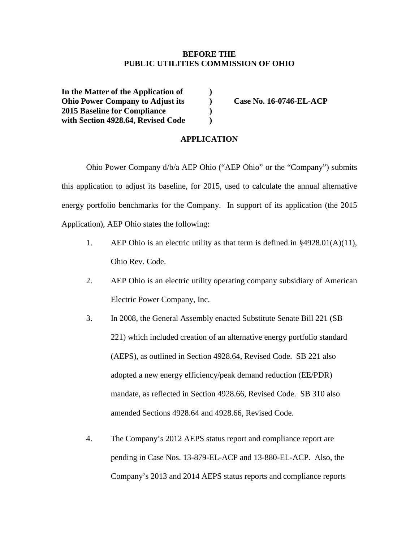#### **BEFORE THE PUBLIC UTILITIES COMMISSION OF OHIO**

**In the Matter of the Application of ) Ohio Power Company to Adjust its ) Case No. 16-0746-EL-ACP 2015 Baseline for Compliance ) with Section 4928.64, Revised Code )**

#### **APPLICATION**

Ohio Power Company d/b/a AEP Ohio ("AEP Ohio" or the "Company") submits this application to adjust its baseline, for 2015, used to calculate the annual alternative energy portfolio benchmarks for the Company. In support of its application (the 2015 Application), AEP Ohio states the following:

- 1. AEP Ohio is an electric utility as that term is defined in §4928.01(A)(11), Ohio Rev. Code.
- 2. AEP Ohio is an electric utility operating company subsidiary of American Electric Power Company, Inc.
- 3. In 2008, the General Assembly enacted Substitute Senate Bill 221 (SB 221) which included creation of an alternative energy portfolio standard (AEPS), as outlined in Section 4928.64, Revised Code. SB 221 also adopted a new energy efficiency/peak demand reduction (EE/PDR) mandate, as reflected in Section 4928.66, Revised Code. SB 310 also amended Sections 4928.64 and 4928.66, Revised Code.
- 4. The Company's 2012 AEPS status report and compliance report are pending in Case Nos. 13-879-EL-ACP and 13-880-EL-ACP. Also, the Company's 2013 and 2014 AEPS status reports and compliance reports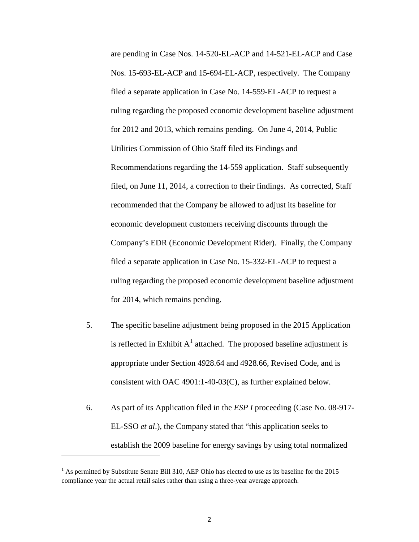are pending in Case Nos. 14-520-EL-ACP and 14-521-EL-ACP and Case Nos. 15-693-EL-ACP and 15-694-EL-ACP, respectively. The Company filed a separate application in Case No. 14-559-EL-ACP to request a ruling regarding the proposed economic development baseline adjustment for 2012 and 2013, which remains pending. On June 4, 2014, Public Utilities Commission of Ohio Staff filed its Findings and Recommendations regarding the 14-559 application. Staff subsequently filed, on June 11, 2014, a correction to their findings. As corrected, Staff recommended that the Company be allowed to adjust its baseline for economic development customers receiving discounts through the Company's EDR (Economic Development Rider). Finally, the Company filed a separate application in Case No. 15-332-EL-ACP to request a ruling regarding the proposed economic development baseline adjustment for 2014, which remains pending.

- 5. The specific baseline adjustment being proposed in the 2015 Application is reflected in Exhibit  $A<sup>1</sup>$  $A<sup>1</sup>$  $A<sup>1</sup>$  attached. The proposed baseline adjustment is appropriate under Section 4928.64 and 4928.66, Revised Code, and is consistent with OAC 4901:1-40-03(C), as further explained below.
- 6. As part of its Application filed in the *ESP I* proceeding (Case No. 08-917- EL-SSO *et al*.), the Company stated that "this application seeks to establish the 2009 baseline for energy savings by using total normalized

 $\overline{\phantom{a}}$ 

<span id="page-1-0"></span><sup>&</sup>lt;sup>1</sup> As permitted by Substitute Senate Bill 310, AEP Ohio has elected to use as its baseline for the 2015 compliance year the actual retail sales rather than using a three-year average approach.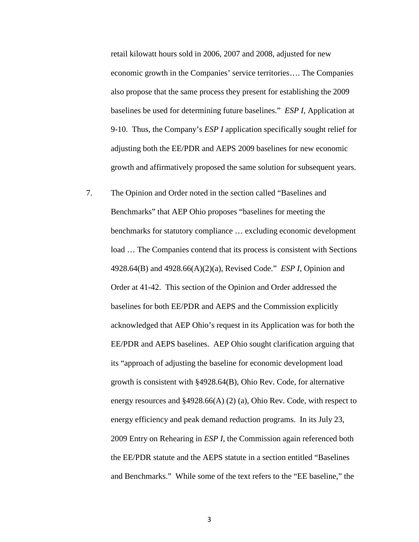retail kilowatt hours sold in 2006, 2007 and 2008, adjusted for new economic growth in the Companies' service territories…. The Companies also propose that the same process they present for establishing the 2009 baselines be used for determining future baselines." *ESP I*, Application at 9-10. Thus, the Company's *ESP I* application specifically sought relief for adjusting both the EE/PDR and AEPS 2009 baselines for new economic growth and affirmatively proposed the same solution for subsequent years.

7. The Opinion and Order noted in the section called "Baselines and Benchmarks" that AEP Ohio proposes "baselines for meeting the benchmarks for statutory compliance … excluding economic development load … The Companies contend that its process is consistent with Sections 4928.64(B) and 4928.66(A)(2)(a), Revised Code." *ESP I*, Opinion and Order at 41-42. This section of the Opinion and Order addressed the baselines for both EE/PDR and AEPS and the Commission explicitly acknowledged that AEP Ohio's request in its Application was for both the EE/PDR and AEPS baselines. AEP Ohio sought clarification arguing that its "approach of adjusting the baseline for economic development load growth is consistent with §4928.64(B), Ohio Rev. Code, for alternative energy resources and §4928.66(A) (2) (a), Ohio Rev. Code, with respect to energy efficiency and peak demand reduction programs. In its July 23, 2009 Entry on Rehearing in *ESP I*, the Commission again referenced both the EE/PDR statute and the AEPS statute in a section entitled "Baselines and Benchmarks." While some of the text refers to the "EE baseline," the

3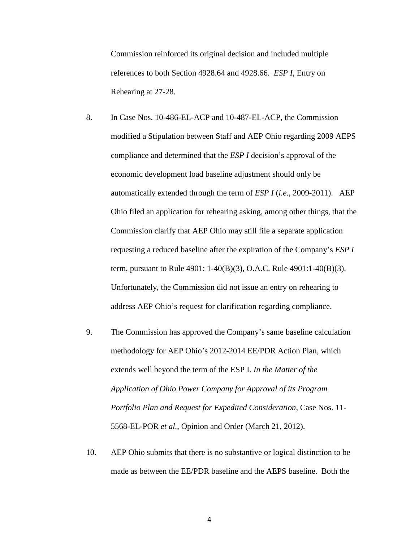Commission reinforced its original decision and included multiple references to both Section 4928.64 and 4928.66. *ESP I*, Entry on Rehearing at 27-28.

- 8. In Case Nos. 10-486-EL-ACP and 10-487-EL-ACP, the Commission modified a Stipulation between Staff and AEP Ohio regarding 2009 AEPS compliance and determined that the *ESP I* decision's approval of the economic development load baseline adjustment should only be automatically extended through the term of *ESP I* (*i.e*., 2009-2011). AEP Ohio filed an application for rehearing asking, among other things, that the Commission clarify that AEP Ohio may still file a separate application requesting a reduced baseline after the expiration of the Company's *ESP I* term, pursuant to Rule 4901: 1-40(B)(3), O.A.C. Rule 4901:1-40(B)(3). Unfortunately, the Commission did not issue an entry on rehearing to address AEP Ohio's request for clarification regarding compliance.
- 9. The Commission has approved the Company's same baseline calculation methodology for AEP Ohio's 2012-2014 EE/PDR Action Plan, which extends well beyond the term of the ESP I. *In the Matter of the Application of Ohio Power Company for Approval of its Program Portfolio Plan and Request for Expedited Consideration*, Case Nos. 11- 5568-EL-POR *et al.*, Opinion and Order (March 21, 2012).
- 10. AEP Ohio submits that there is no substantive or logical distinction to be made as between the EE/PDR baseline and the AEPS baseline. Both the

4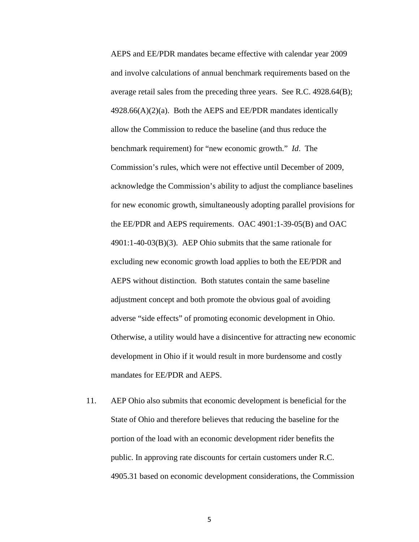AEPS and EE/PDR mandates became effective with calendar year 2009 and involve calculations of annual benchmark requirements based on the average retail sales from the preceding three years. See R.C. 4928.64(B);  $4928.66(A)(2)(a)$ . Both the AEPS and EE/PDR mandates identically allow the Commission to reduce the baseline (and thus reduce the benchmark requirement) for "new economic growth." *Id*. The Commission's rules, which were not effective until December of 2009, acknowledge the Commission's ability to adjust the compliance baselines for new economic growth, simultaneously adopting parallel provisions for the EE/PDR and AEPS requirements. OAC 4901:1-39-05(B) and OAC 4901:1-40-03(B)(3). AEP Ohio submits that the same rationale for excluding new economic growth load applies to both the EE/PDR and AEPS without distinction. Both statutes contain the same baseline adjustment concept and both promote the obvious goal of avoiding adverse "side effects" of promoting economic development in Ohio. Otherwise, a utility would have a disincentive for attracting new economic development in Ohio if it would result in more burdensome and costly mandates for EE/PDR and AEPS.

11. AEP Ohio also submits that economic development is beneficial for the State of Ohio and therefore believes that reducing the baseline for the portion of the load with an economic development rider benefits the public. In approving rate discounts for certain customers under R.C. 4905.31 based on economic development considerations, the Commission

5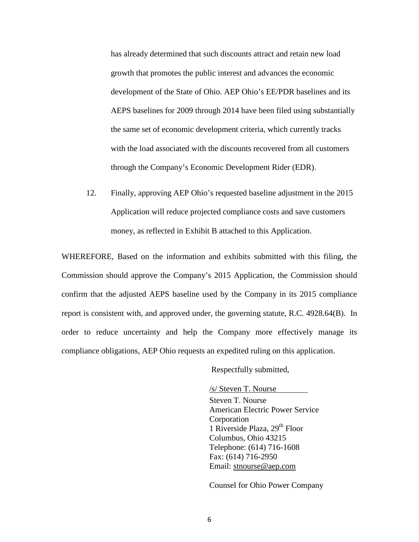has already determined that such discounts attract and retain new load growth that promotes the public interest and advances the economic development of the State of Ohio. AEP Ohio's EE/PDR baselines and its AEPS baselines for 2009 through 2014 have been filed using substantially the same set of economic development criteria, which currently tracks with the load associated with the discounts recovered from all customers through the Company's Economic Development Rider (EDR).

12. Finally, approving AEP Ohio's requested baseline adjustment in the 2015 Application will reduce projected compliance costs and save customers money, as reflected in Exhibit B attached to this Application.

WHEREFORE, Based on the information and exhibits submitted with this filing, the Commission should approve the Company's 2015 Application, the Commission should confirm that the adjusted AEPS baseline used by the Company in its 2015 compliance report is consistent with, and approved under, the governing statute, R.C. 4928.64(B). In order to reduce uncertainty and help the Company more effectively manage its compliance obligations, AEP Ohio requests an expedited ruling on this application.

Respectfully submitted,

/s/ Steven T. Nourse

Steven T. Nourse American Electric Power Service Corporation 1 Riverside Plaza,  $29<sup>th</sup>$  Floor Columbus, Ohio 43215 Telephone: (614) 716-1608 Fax: (614) 716-2950 Email: [stnourse@aep.com](mailto:stnourse@aep.com)

Counsel for Ohio Power Company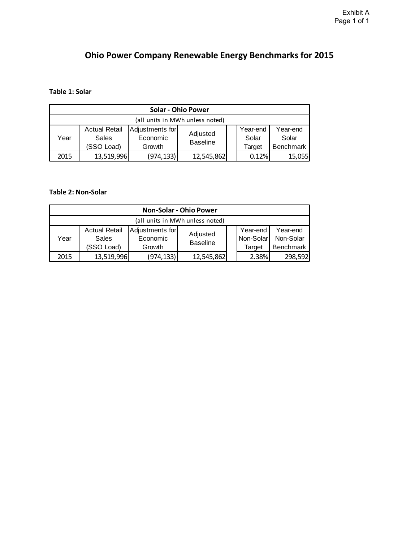# **Ohio Power Company Renewable Energy Benchmarks for 2015**

### **Table 1: Solar**

| <b>Solar - Ohio Power</b>       |                                             |                                       |                             |  |                             |                                       |  |  |
|---------------------------------|---------------------------------------------|---------------------------------------|-----------------------------|--|-----------------------------|---------------------------------------|--|--|
| (all units in MWh unless noted) |                                             |                                       |                             |  |                             |                                       |  |  |
| Year                            | <b>Actual Retail</b><br>Sales<br>(SSO Load) | Adjustments for<br>Economic<br>Growth | Adjusted<br><b>Baseline</b> |  | Year-end<br>Solar<br>Target | Year-end<br>Solar<br><b>Benchmark</b> |  |  |
| 2015                            | 13,519,996                                  | (974,133)                             | 12,545,862                  |  | 0.12%                       | 15,055                                |  |  |

### **Table 2: Non-Solar**

| <b>Non-Solar - Ohio Power</b>   |                               |                             |                             |  |                       |                       |  |  |  |
|---------------------------------|-------------------------------|-----------------------------|-----------------------------|--|-----------------------|-----------------------|--|--|--|
| (all units in MWh unless noted) |                               |                             |                             |  |                       |                       |  |  |  |
| Year                            | <b>Actual Retail</b><br>Sales | Adjustments for<br>Economic | Adjusted<br><b>Baseline</b> |  | Year-end<br>Non-Solar | Year-end<br>Non-Solar |  |  |  |
|                                 | (SSO Load)                    | Growth                      |                             |  | Target                | <b>Benchmark</b>      |  |  |  |
| 2015                            | 13,519,996                    | (974,133)                   | 12,545,862                  |  | 2.38%                 | 298,592               |  |  |  |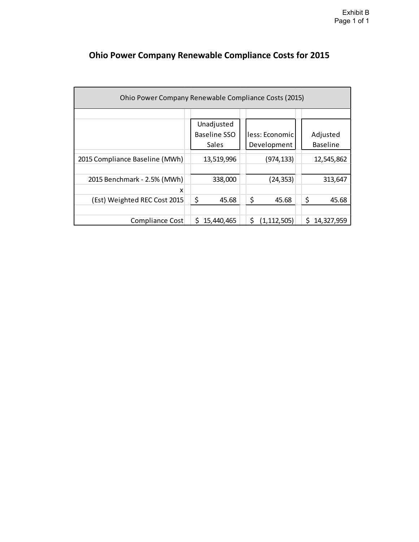| Ohio Power Company Renewable Compliance Costs (2015) |                     |                     |                   |  |  |  |  |  |
|------------------------------------------------------|---------------------|---------------------|-------------------|--|--|--|--|--|
|                                                      |                     |                     |                   |  |  |  |  |  |
|                                                      | Unadjusted          |                     |                   |  |  |  |  |  |
|                                                      | <b>Baseline SSO</b> | less: Economic      | Adjusted          |  |  |  |  |  |
|                                                      | Sales               | Development         | <b>Baseline</b>   |  |  |  |  |  |
| 2015 Compliance Baseline (MWh)                       | 13,519,996          | (974, 133)          | 12,545,862        |  |  |  |  |  |
|                                                      |                     |                     |                   |  |  |  |  |  |
| 2015 Benchmark - 2.5% (MWh)                          | 338,000             | (24, 353)           | 313,647           |  |  |  |  |  |
| x                                                    |                     |                     |                   |  |  |  |  |  |
| (Est) Weighted REC Cost 2015                         | \$<br>45.68         | \$<br>45.68         | \$<br>45.68       |  |  |  |  |  |
|                                                      |                     |                     |                   |  |  |  |  |  |
| Compliance Cost                                      | Ś.<br>15,440,465    | \$<br>(1, 112, 505) | \$.<br>14,327,959 |  |  |  |  |  |

# **Ohio Power Company Renewable Compliance Costs for 2015**